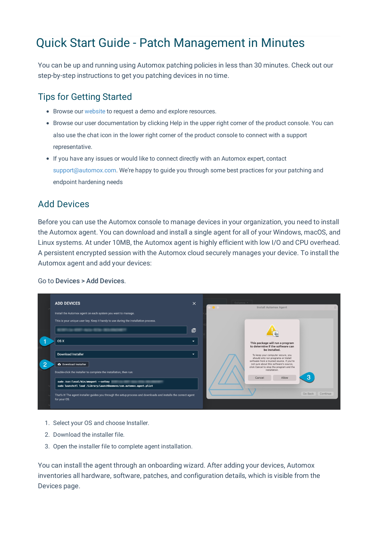# Quick Start Guide - Patch Management in Minutes

You can be up and running using Automox patching policies in less than 30 minutes. Check out our step-by-step instructions to get you patching devices in no time.

# Tips for Getting Started

- Browse our website to request a demo and explore resources.
- Browse our user documentation by clicking Help in the upper right corner of the product console. You can also use the chat icon in the lower right corner of the product console to connect with a support representative.
- If you have any issues or would like to connect directly with an Automox expert, contact support@automox.com. We're happy to guide you through some best practices for your patching and endpoint hardening needs

# Add Devices

Before you can use the Automox console to manage devices in your organization, you need to install the Automox agent. You can download and install a single agent for all of your Windows, macOS, and Linux systems. At under 10MB, the Automox agent is highly efficient with low I/O and CPU overhead. A persistent encrypted session with the Automox cloud securely manages your device. To install the Automox agent and add your devices:

#### Go to Devices > Add Devices.

|                | <b>ADD DEVICES</b>                                                                                                               | $\times$                 | Columns - |                                                                                                     |                     |
|----------------|----------------------------------------------------------------------------------------------------------------------------------|--------------------------|-----------|-----------------------------------------------------------------------------------------------------|---------------------|
|                |                                                                                                                                  |                          |           | <b>Install Automox Agent</b>                                                                        |                     |
|                | Install the Automox agent on each system you want to manage.                                                                     |                          |           |                                                                                                     |                     |
|                | This is your unique user key. Keep it handy to use during the installation process.                                              |                          |           |                                                                                                     |                     |
|                |                                                                                                                                  | 囱                        |           |                                                                                                     |                     |
|                | OS X                                                                                                                             | $\overline{\phantom{a}}$ |           | This package will run a program                                                                     |                     |
|                |                                                                                                                                  |                          |           | to determine if the software can<br>be installed.                                                   |                     |
|                | Download Installer                                                                                                               | $\overline{\phantom{0}}$ |           | To keep your computer secure, you                                                                   |                     |
|                |                                                                                                                                  |                          |           | should only run programs or install<br>software from a trusted source. If you're                    |                     |
| $\overline{2}$ | <b>6</b> Download Installer                                                                                                      |                          |           | not sure about this software's source.<br>click Cancel to stop the program and the<br>installation. |                     |
|                | Double-click the installer to complete the installation, then run:                                                               |                          |           |                                                                                                     |                     |
|                | sudo /usr/local/bin/amagent --setkey<br>sudo launchctl load /Library/LaunchDaemons/com.automox.agent.plist                       |                          |           | Allow<br>Cancel                                                                                     | З                   |
|                |                                                                                                                                  |                          |           |                                                                                                     | Go Back<br>Continue |
|                | That's It! The agent installer guides you through the setup process and downloads and installs the correct agent<br>for your OS. |                          |           |                                                                                                     |                     |
|                |                                                                                                                                  |                          |           |                                                                                                     |                     |

- 1. Select your OS and choose Installer.
- 2. Download the installer file.
- 3. Open the installer file to complete agent installation.

You can install the agent through an onboarding wizard. After adding your devices, Automox inventories all hardware, software, patches, and configuration details, which is visible from the Devices page.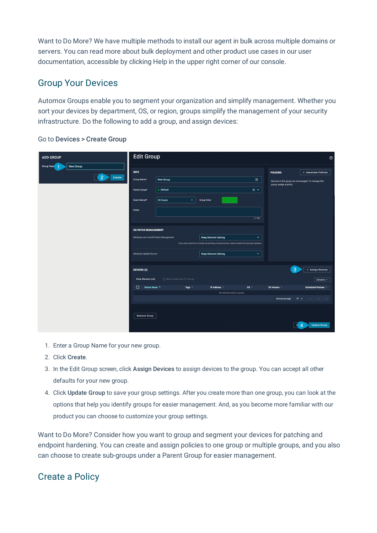Want to Do More? We have multiple methods to install our agent in bulk across multiple domains or servers. You can read more about bulk deployment and other product use cases in our user documentation, accessible by clicking Help in the upper right corner of our console.

### Group Your Devices

Automox Groups enable you to segment your organization and simplify management. Whether you sort your devices by department, OS, or region, groups simplify the management of your security infrastructure. Do the following to add a group, and assign devices:

| ADD GROUP                                          | <b>Edit Group</b><br>$\circledcirc$                                                                                                                                                                |                           |                   |                                                                                                                                                                   |                                     |                                                                                                   |                                                                                             |  |
|----------------------------------------------------|----------------------------------------------------------------------------------------------------------------------------------------------------------------------------------------------------|---------------------------|-------------------|-------------------------------------------------------------------------------------------------------------------------------------------------------------------|-------------------------------------|---------------------------------------------------------------------------------------------------|---------------------------------------------------------------------------------------------|--|
| New Group<br>Group Nam<br>$\overline{2}$<br>Create | <b>INFO</b><br>Group Name*<br>New Group<br>$\blacksquare$<br>$\bullet$ Default<br>$\times$ $\sim$<br>Parent Group*<br>24 Hours<br>Scan Interval*<br>$\overline{\phantom{a}}$<br><b>Group Color</b> |                           |                   |                                                                                                                                                                   |                                     | <b>POLICIES</b><br>Devices in this group are unmanaged. To manage this<br>group, assign a policy. | + Associate Policies                                                                        |  |
|                                                    | Notes<br><b>OS PATCH MANAGEMENT</b><br>Windows and macOS Patch Management<br>Windows Update Source                                                                                                 |                           |                   | <b>Keep Device's Setting</b><br>If you want Automox to handle all patching on these devices, select Disable OS automatic updates.<br><b>Keep Device's Setting</b> | 0/500<br>$\blacktriangledown$<br>÷. |                                                                                                   |                                                                                             |  |
|                                                    | <b>DEVICES (0)</b><br><b>View Device List</b><br>$\Box$<br>Device Name $\uparrow$                                                                                                                  | th Move Selected To Group | Tags <sup>1</sup> | IP Address 1<br>No devices exist in group.                                                                                                                        | OS                                  | -3<br>OS Version                                                                                  | + Assign Devices<br>Columns <b>v</b><br>Scheduled Patches                                   |  |
|                                                    | <b>Remove Group</b>                                                                                                                                                                                |                           |                   |                                                                                                                                                                   |                                     | Devices per page:                                                                                 | $25 - 7$<br><b>State State</b><br>$\langle \rangle$<br>$\rightarrow$<br><b>Update Group</b> |  |

#### Go to Devices > Create Group

- 1. Enter a Group Name for your new group.
- 2. Click Create.
- 3. In the Edit Group screen, click Assign Devices to assign devices to the group. You can accept all other defaults for your new group.
- 4. Click Update Group to save your group settings. After you create more than one group, you can look at the options that help you identify groups for easier management. And, as you become more familiar with our product you can choose to customize your group settings.

Want to Do More? Consider how you want to group and segment your devices for patching and endpoint hardening. You can create and assign policies to one group or multiple groups, and you also can choose to create sub-groups under a Parent Group for easier management.

## Create a Policy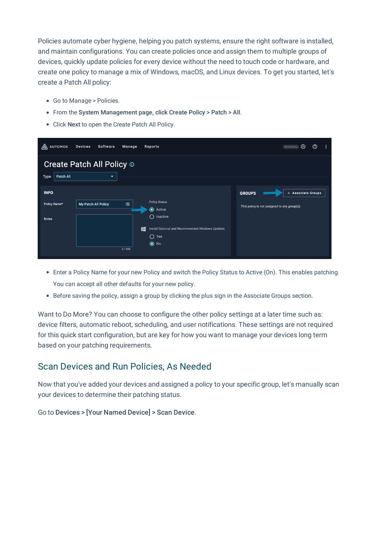Policies automate cyber hygiene, helping you patch systems, ensure the right software is installed, and maintain configurations. You can create policies once and assign them to multiple groups of devices, quickly update policies for every device without the need to touch code or hardware, and create one policy to manage a mix of Windows, macOS, and Linux devices. To get you started, let's create a Patch All policy:

- Go to Manage > Policies.
- From the System Management page, click Create Policy > Patch > All.
- Click Next to open the Create Patch All Policy.

| A<br><b>AUTOMOX</b>                                                               | <b>Devices</b><br>Software | Manage     | Reports                                                                                                                                  | ⊛<br>$^\circledR$                                                                   |  |  |  |  |  |  |  |
|-----------------------------------------------------------------------------------|----------------------------|------------|------------------------------------------------------------------------------------------------------------------------------------------|-------------------------------------------------------------------------------------|--|--|--|--|--|--|--|
| <b>Create Patch All Policy ®</b><br>Patch All<br>Type<br>$\overline{\phantom{0}}$ |                            |            |                                                                                                                                          |                                                                                     |  |  |  |  |  |  |  |
| <b>INFO</b><br>Policy Name*<br><b>Notes</b>                                       | My Patch All Policy        | 国<br>0/500 | <b>Policy Status</b><br>Active<br>◯<br>Inactive<br>Install Optional and Recommended Windows Updates<br>11<br>$\bigcap$ Yes<br>$\odot$ No | <b>GROUPS</b><br>+ Associate Groups<br>This policy is not assigned to any group(s). |  |  |  |  |  |  |  |

- Enter a Policy Name for your new Policy and switch the Policy Status to Active (On). This enables patching. You can accept all other defaults for your new policy.
- Before saving the policy, assign a group by clicking the plus sign in the Associate Groups section.

Want to Do More? You can choose to configure the other policy settings at a later time such as: device filters, automatic reboot, scheduling, and user notifications. These settings are not required for this quick start configuration, but are key for how you want to manage your devices long term based on your patching requirements.

## Scan Devices and Run Policies, As Needed

Now that you've added your devices and assigned a policy to your specific group, let's manually scan your devices to determine their patching status.

Go to Devices > [Your Named Device] > Scan Device.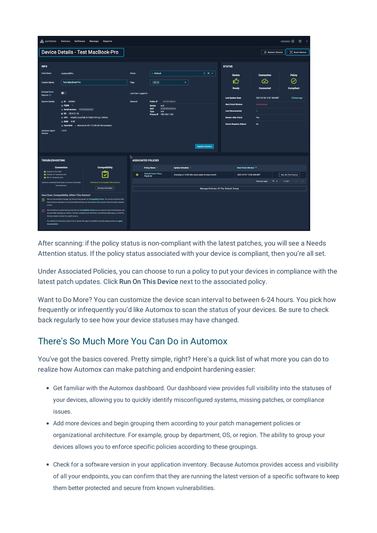| $\circledcirc$ :<br>A AUTOMOX<br>Devices Software<br>Manage<br>Reports                                                                                                                                                    |                                                                                                                                                      |                                                                                                                                                                                                                        |                                                        |                                          |                                                 |                                                        |                               |                            |                           |
|---------------------------------------------------------------------------------------------------------------------------------------------------------------------------------------------------------------------------|------------------------------------------------------------------------------------------------------------------------------------------------------|------------------------------------------------------------------------------------------------------------------------------------------------------------------------------------------------------------------------|--------------------------------------------------------|------------------------------------------|-------------------------------------------------|--------------------------------------------------------|-------------------------------|----------------------------|---------------------------|
|                                                                                                                                                                                                                           |                                                                                                                                                      | <b>Device Details - Test MacBook-Pro</b>                                                                                                                                                                               |                                                        |                                          |                                                 |                                                        |                               | (b) Restart Device         | (a) Scan Device           |
|                                                                                                                                                                                                                           |                                                                                                                                                      |                                                                                                                                                                                                                        |                                                        |                                          |                                                 |                                                        |                               |                            |                           |
| <b>INFO</b>                                                                                                                                                                                                               |                                                                                                                                                      |                                                                                                                                                                                                                        |                                                        |                                          |                                                 |                                                        | <b>STATUS</b>                 |                            |                           |
| <b>Host Name</b>                                                                                                                                                                                                          | vbailey-MBPro                                                                                                                                        |                                                                                                                                                                                                                        | Group                                                  | $\bullet$ Default                        |                                                 | $\mathbb{R}$ $\times$ $\times$                         | <b>Device</b>                 | <b>Connection</b>          | Policy                    |
| <b>Custom Name</b>                                                                                                                                                                                                        | <b>Test MacBook-Pro</b>                                                                                                                              |                                                                                                                                                                                                                        | Tags                                                   | AX X                                     | ٠                                               |                                                        | ம்                            | ∞                          | ⊘                         |
| <b>Exclude From</b>                                                                                                                                                                                                       |                                                                                                                                                      |                                                                                                                                                                                                                        |                                                        |                                          |                                                 |                                                        | Ready                         | <b>Connected</b>           | <b>Compliant</b>          |
| Reports <b>O</b>                                                                                                                                                                                                          |                                                                                                                                                      |                                                                                                                                                                                                                        |                                                        | Last User Logged In                      |                                                 |                                                        | <b>Last System Scan</b>       | 2021-07-06 12:07 AM MDT    | 10 hours ago              |
| <b>System Details</b>                                                                                                                                                                                                     | <b>■ ID 429883</b><br>$E$ FQDN<br>$\sim$<br>- Serial Number<br>$\div$ OS OS X (11.4)<br>c CPU Intel(R) Core(TM) i5-7360U CPU @ 2.30GHz<br>@ RAM 8 GB |                                                                                                                                                                                                                        | Network<br><b>Public IP</b><br>Device<br>en0           |                                          |                                                 | <b>Next Patch Window</b>                               | Unscheduled                   |                            |                           |
|                                                                                                                                                                                                                           |                                                                                                                                                      |                                                                                                                                                                                                                        | <b>MAC</b><br>wifi<br>Type<br>Private IP 192,168,1.103 |                                          |                                                 | <b>Last Disconnected</b><br><b>Restart After Patch</b> | -                             |                            |                           |
|                                                                                                                                                                                                                           |                                                                                                                                                      |                                                                                                                                                                                                                        |                                                        |                                          |                                                 |                                                        | Yes                           |                            |                           |
| G Hard Disk - Macintosh HD 113 GB (49 GB Available)                                                                                                                                                                       |                                                                                                                                                      |                                                                                                                                                                                                                        |                                                        |                                          |                                                 |                                                        | <b>Device Requires Reboot</b> | <b>No</b>                  |                           |
| <b>Automox Agent</b><br>$1,0-31$<br>Version                                                                                                                                                                               |                                                                                                                                                      |                                                                                                                                                                                                                        |                                                        |                                          |                                                 |                                                        |                               |                            |                           |
|                                                                                                                                                                                                                           |                                                                                                                                                      |                                                                                                                                                                                                                        |                                                        |                                          |                                                 |                                                        |                               |                            |                           |
|                                                                                                                                                                                                                           |                                                                                                                                                      |                                                                                                                                                                                                                        |                                                        |                                          |                                                 | <b>Update Device</b>                                   |                               |                            |                           |
| <b>TROUBLESHOOTING</b>                                                                                                                                                                                                    |                                                                                                                                                      |                                                                                                                                                                                                                        | B                                                      | <b>ASSOCIATED POLICIES</b>               |                                                 |                                                        |                               |                            |                           |
|                                                                                                                                                                                                                           | <b>Connection</b>                                                                                                                                    | <b>Compatibility</b>                                                                                                                                                                                                   |                                                        | Policy Name                              | Update Schedule                                 |                                                        | Next Patch Window 4           |                            |                           |
| Connect to Port 443<br>Connect to *.automox.com                                                                                                                                                                           |                                                                                                                                                      | ⊽                                                                                                                                                                                                                      | $\bullet$                                              | <b>Default Patch Policy</b><br>Patch All | Everyday at 12:00 AM, every week of every month |                                                        | 2021-07-07 12:00 AM MDT       |                            | <b>Run On This Device</b> |
| SSL to *.automox.com                                                                                                                                                                                                      | Device is connected and ready to receive commands                                                                                                    | This Device Is Compatible With Automox                                                                                                                                                                                 |                                                        |                                          |                                                 |                                                        |                               | $10 - 7$<br>Rows per page: | $1-1$ of $1$              |
| from Automox.<br><b>Review Checklist</b>                                                                                                                                                                                  |                                                                                                                                                      | <b>Manage Policies Of The Default Group</b>                                                                                                                                                                            |                                                        |                                          |                                                 |                                                        |                               |                            |                           |
| <b>How Does Compatibility Affect This Device?</b>                                                                                                                                                                         |                                                                                                                                                      |                                                                                                                                                                                                                        |                                                        |                                          |                                                 |                                                        |                               |                            |                           |
| We can successfully manage any Device that passes our Compatibility Check. You can be confident that<br>these Devices will patch on time provided that they are connected to the internet when the patch window<br>cocurs |                                                                                                                                                      |                                                                                                                                                                                                                        |                                                        |                                          |                                                 |                                                        |                               |                            |                           |
|                                                                                                                                                                                                                           | devices cannot connect to a patch source.                                                                                                            | We will still try to patch Devices that fail our Compatibility Check, but we cannot ensure that Automox can<br>successfully manage your device. Common problems are that there is insufficient disk space, or that the |                                                        |                                          |                                                 |                                                        |                               |                            |                           |
| For additional information about how to ensure the agent is installed correctly, please review our agent<br>documentation                                                                                                 |                                                                                                                                                      |                                                                                                                                                                                                                        |                                                        |                                          |                                                 |                                                        |                               |                            |                           |

After scanning: if the policy status is non-compliant with the latest patches, you will see a Needs Attention status. If the policy status associated with your device is compliant, then you're all set.

Under Associated Policies, you can choose to run a policy to put your devices in compliance with the latest patch updates. Click Run On This Device next to the associated policy.

Want to Do More? You can customize the device scan interval to between 6-24 hours. You pick how frequently or infrequently you'd like Automox to scan the status of your devices. Be sure to check back regularly to see how your device statuses may have changed.

## There's So Much More You Can Do in Automox

You've got the basics covered. Pretty simple, right? Here's a quick list of what more you can do to realize how Automox can make patching and endpoint hardening easier:

- Get familiar with the Automox dashboard. Our dashboard view provides full visibility into the statuses of your devices, allowing you to quickly identify misconfigured systems, missing patches, or compliance issues.
- Add more devices and begin grouping them according to your patch management policies or organizational architecture. For example, group by department, OS, or region. The ability to group your devices allows you to enforce specific policies according to these groupings.
- Check for a software version in your application inventory. Because Automox provides access and visibility of all your endpoints, you can confirm that they are running the latest version of a specific software to keep them better protected and secure from known vulnerabilities.